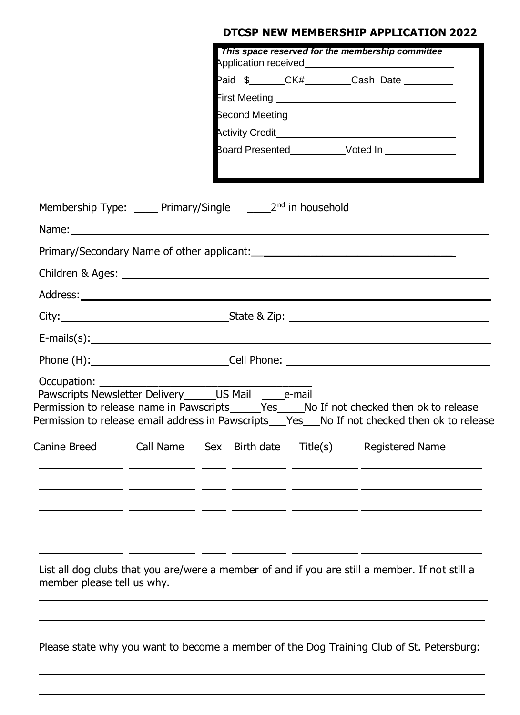## **DTCSP NEW MEMBERSHIP APPLICATION 2022**

|                                                                            |                                                                                                                                                                                                                                |  |  |  | This space reserved for the membership committee                                                                                                                                             |  |  |  |
|----------------------------------------------------------------------------|--------------------------------------------------------------------------------------------------------------------------------------------------------------------------------------------------------------------------------|--|--|--|----------------------------------------------------------------------------------------------------------------------------------------------------------------------------------------------|--|--|--|
|                                                                            |                                                                                                                                                                                                                                |  |  |  | Paid \$_______CK#_________Cash Date _________                                                                                                                                                |  |  |  |
|                                                                            |                                                                                                                                                                                                                                |  |  |  |                                                                                                                                                                                              |  |  |  |
|                                                                            |                                                                                                                                                                                                                                |  |  |  |                                                                                                                                                                                              |  |  |  |
|                                                                            |                                                                                                                                                                                                                                |  |  |  |                                                                                                                                                                                              |  |  |  |
|                                                                            |                                                                                                                                                                                                                                |  |  |  |                                                                                                                                                                                              |  |  |  |
| Membership Type: _____ Primary/Single _______ 2 <sup>nd</sup> in household |                                                                                                                                                                                                                                |  |  |  |                                                                                                                                                                                              |  |  |  |
|                                                                            |                                                                                                                                                                                                                                |  |  |  |                                                                                                                                                                                              |  |  |  |
|                                                                            |                                                                                                                                                                                                                                |  |  |  |                                                                                                                                                                                              |  |  |  |
|                                                                            |                                                                                                                                                                                                                                |  |  |  |                                                                                                                                                                                              |  |  |  |
|                                                                            |                                                                                                                                                                                                                                |  |  |  |                                                                                                                                                                                              |  |  |  |
|                                                                            |                                                                                                                                                                                                                                |  |  |  |                                                                                                                                                                                              |  |  |  |
| $E\text{-mails}(s):$                                                       |                                                                                                                                                                                                                                |  |  |  |                                                                                                                                                                                              |  |  |  |
|                                                                            | Phone (H): Cell Phone: Cell Phone: Cell Phone: Cell Phone: Cell Phone: Cell Phone: Cell Phone: Cell Phone: Cell Phone: Cell Phone: Cell Phone: Cell Phone: Cell Phone: Cell Phone: Cell Phone: Cell Phone: Cell Phone: Cell Ph |  |  |  |                                                                                                                                                                                              |  |  |  |
| Occupation:<br>Pawscripts Newsletter Delivery ______ US Mail _______e-mail |                                                                                                                                                                                                                                |  |  |  | Permission to release name in Pawscripts______Yes_____No If not checked then ok to release<br>Permission to release email address in Pawscripts___Yes___No If not checked then ok to release |  |  |  |
|                                                                            |                                                                                                                                                                                                                                |  |  |  | Canine Breed Call Name Sex Birth date Title(s) Registered Name                                                                                                                               |  |  |  |
|                                                                            |                                                                                                                                                                                                                                |  |  |  |                                                                                                                                                                                              |  |  |  |
|                                                                            |                                                                                                                                                                                                                                |  |  |  |                                                                                                                                                                                              |  |  |  |
| member please tell us why.                                                 |                                                                                                                                                                                                                                |  |  |  | List all dog clubs that you are/were a member of and if you are still a member. If not still a                                                                                               |  |  |  |

Please state why you want to become a member of the Dog Training Club of St. Petersburg: